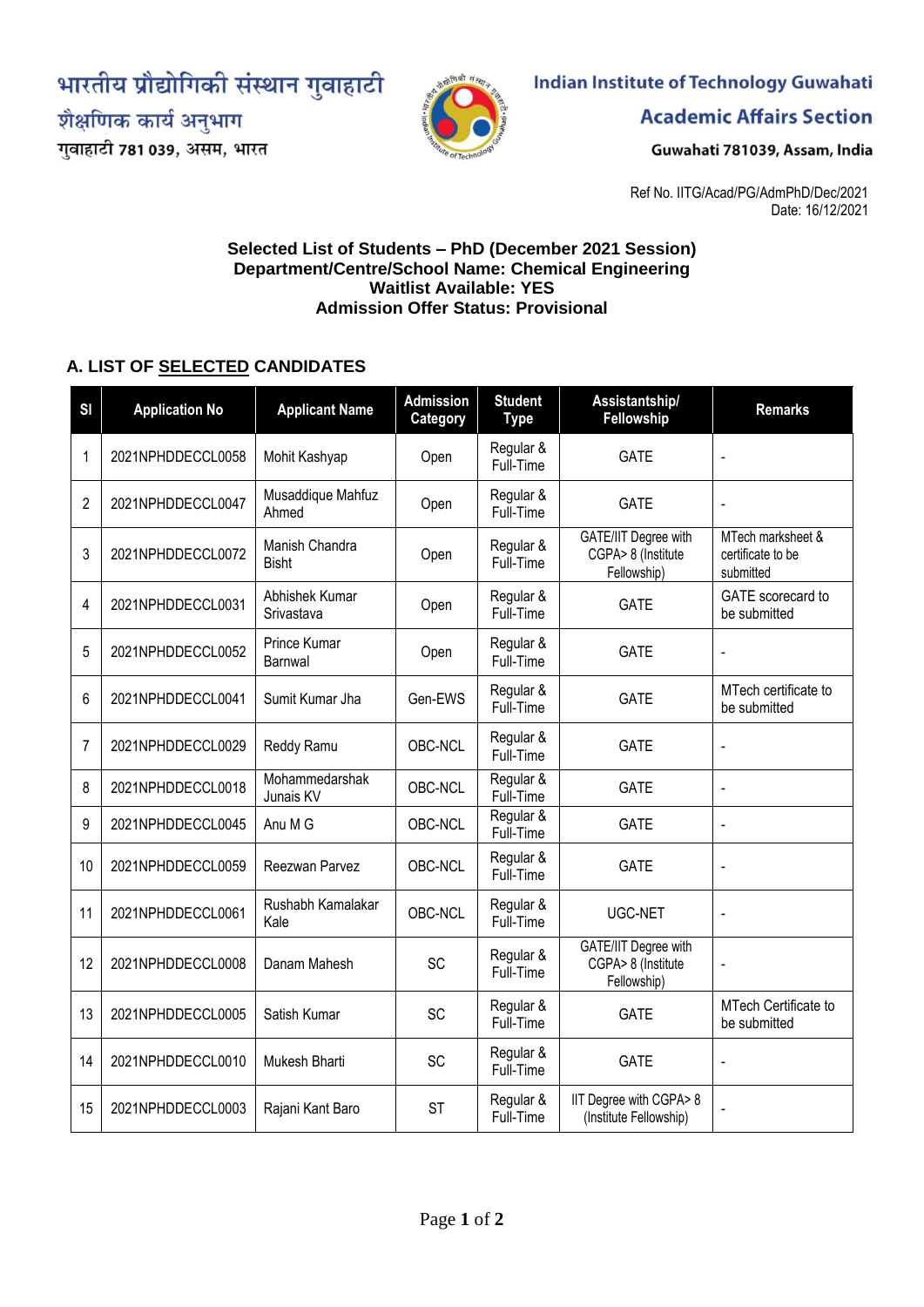भारतीय प्रौद्योगिकी संस्थान गुवाहाटी

शैक्षणिक कार्य अनुभाग

गुवाहाटी 781 039, असम, भारत



# **Indian Institute of Technology Guwahati**

**Academic Affairs Section** 

Guwahati 781039, Assam, India

Ref No. IITG/Acad/PG/AdmPhD/Dec/2021 Date: 16/12/2021

#### **Selected List of Students – PhD (December 2021 Session) Department/Centre/School Name: Chemical Engineering Waitlist Available: YES Admission Offer Status: Provisional**

# **A. LIST OF SELECTED CANDIDATES**

| S <sub>l</sub> | <b>Application No</b> | <b>Applicant Name</b>          | <b>Admission</b><br>Category | <b>Student</b><br><b>Type</b> | Assistantship/<br>Fellowship                                     | <b>Remarks</b>                                      |
|----------------|-----------------------|--------------------------------|------------------------------|-------------------------------|------------------------------------------------------------------|-----------------------------------------------------|
| 1              | 2021NPHDDECCL0058     | Mohit Kashyap                  | Open                         | Regular &<br>Full-Time        | <b>GATE</b>                                                      | $\overline{a}$                                      |
| $\overline{2}$ | 2021NPHDDECCL0047     | Musaddique Mahfuz<br>Ahmed     | Open                         | Regular &<br>Full-Time        | <b>GATE</b>                                                      | $\overline{a}$                                      |
| 3              | 2021NPHDDECCL0072     | Manish Chandra<br><b>Bisht</b> | Open                         | Regular &<br>Full-Time        | GATE/IIT Degree with<br>CGPA> 8 (Institute<br>Fellowship)        | MTech marksheet &<br>certificate to be<br>submitted |
| 4              | 2021NPHDDECCL0031     | Abhishek Kumar<br>Srivastava   | Open                         | Regular &<br>Full-Time        | <b>GATE</b>                                                      | GATE scorecard to<br>be submitted                   |
| 5              | 2021NPHDDECCL0052     | <b>Prince Kumar</b><br>Barnwal | Open                         | Regular &<br>Full-Time        | <b>GATE</b>                                                      |                                                     |
| 6              | 2021NPHDDECCL0041     | Sumit Kumar Jha                | Gen-EWS                      | Regular &<br>Full-Time        | <b>GATE</b>                                                      | MTech certificate to<br>be submitted                |
| 7              | 2021NPHDDECCL0029     | Reddy Ramu                     | OBC-NCL                      | Regular &<br>Full-Time        | <b>GATE</b>                                                      | $\blacksquare$                                      |
| 8              | 2021NPHDDECCL0018     | Mohammedarshak<br>Junais KV    | OBC-NCL                      | Regular &<br>Full-Time        | <b>GATE</b>                                                      | $\overline{a}$                                      |
| 9              | 2021NPHDDECCL0045     | Anu M G                        | OBC-NCL                      | Regular &<br>Full-Time        | <b>GATE</b>                                                      | $\overline{a}$                                      |
| 10             | 2021NPHDDECCL0059     | Reezwan Parvez                 | OBC-NCL                      | Regular &<br>Full-Time        | <b>GATE</b>                                                      | $\blacksquare$                                      |
| 11             | 2021NPHDDECCL0061     | Rushabh Kamalakar<br>Kale      | OBC-NCL                      | Regular &<br>Full-Time        | UGC-NET                                                          | $\overline{a}$                                      |
| 12             | 2021NPHDDECCL0008     | Danam Mahesh                   | SC                           | Regular &<br>Full-Time        | <b>GATE/IIT Degree with</b><br>CGPA> 8 (Institute<br>Fellowship) | $\blacksquare$                                      |
| 13             | 2021NPHDDECCL0005     | Satish Kumar                   | SC                           | Regular &<br>Full-Time        | <b>GATE</b>                                                      | MTech Certificate to<br>be submitted                |
| 14             | 2021NPHDDECCL0010     | Mukesh Bharti                  | SC                           | Regular &<br>Full-Time        | <b>GATE</b>                                                      | $\overline{a}$                                      |
| 15             | 2021NPHDDECCL0003     | Rajani Kant Baro               | <b>ST</b>                    | Regular &<br>Full-Time        | IIT Degree with CGPA> 8<br>(Institute Fellowship)                | $\blacksquare$                                      |